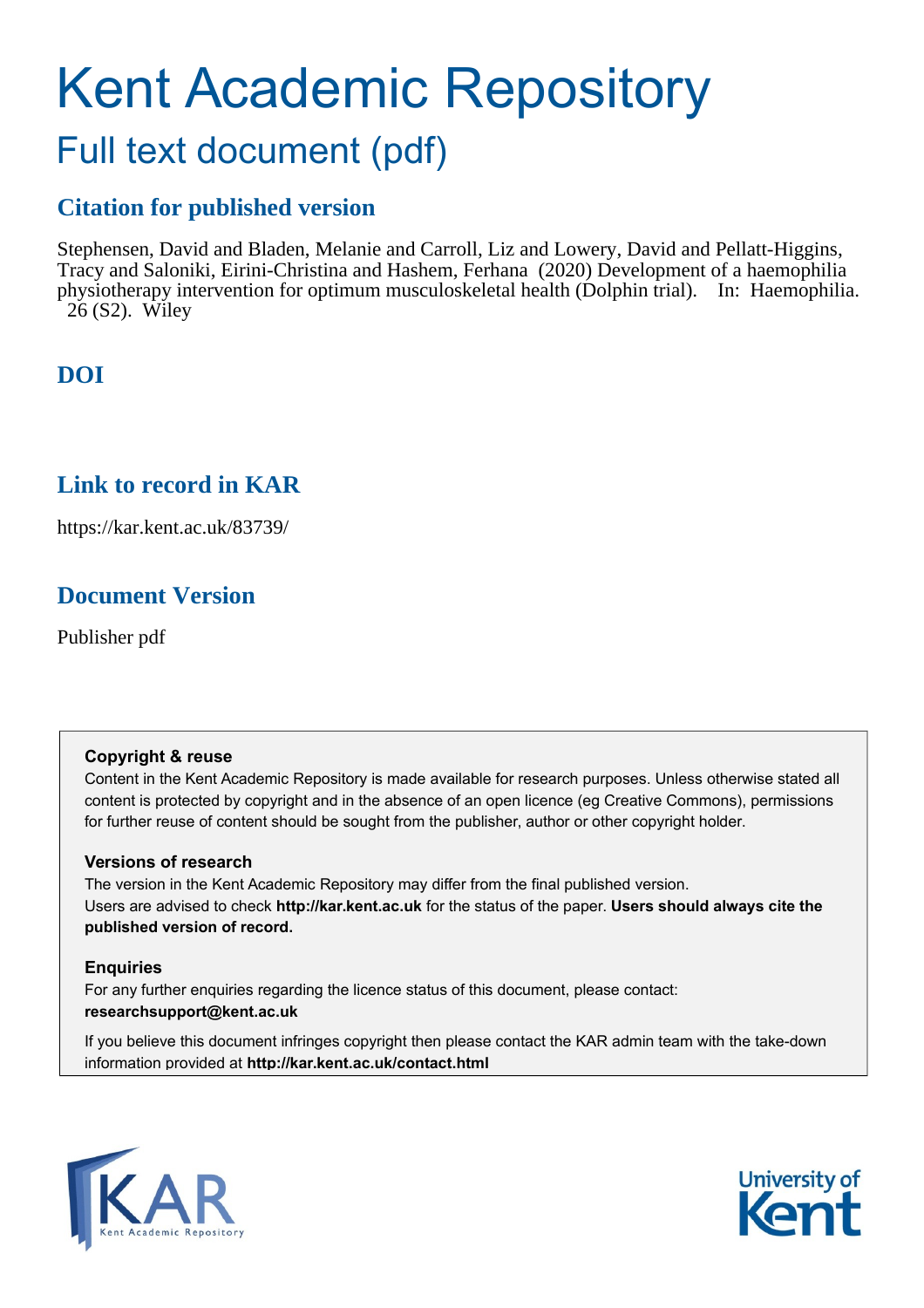# Kent Academic Repository Full text document (pdf)

## **Citation for published version**

Stephensen, David and Bladen, Melanie and Carroll, Liz and Lowery, David and Pellatt-Higgins, Tracy and Saloniki, Eirini-Christina and Hashem, Ferhana (2020) Development of a haemophilia physiotherapy intervention for optimum musculoskeletal health (Dolphin trial). In: Haemophilia. 26 (S2). Wiley

## **DOI**

## **Link to record in KAR**

https://kar.kent.ac.uk/83739/

## **Document Version**

Publisher pdf

#### **Copyright & reuse**

Content in the Kent Academic Repository is made available for research purposes. Unless otherwise stated all content is protected by copyright and in the absence of an open licence (eg Creative Commons), permissions for further reuse of content should be sought from the publisher, author or other copyright holder.

#### **Versions of research**

The version in the Kent Academic Repository may differ from the final published version. Users are advised to check **http://kar.kent.ac.uk** for the status of the paper. **Users should always cite the published version of record.**

#### **Enquiries**

For any further enquiries regarding the licence status of this document, please contact: **researchsupport@kent.ac.uk**

If you believe this document infringes copyright then please contact the KAR admin team with the take-down information provided at **http://kar.kent.ac.uk/contact.html**